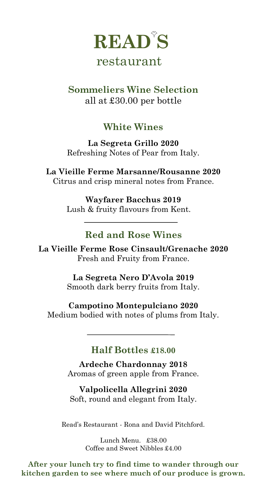

## restaurant

### **Sommeliers Wine Selection** all at £30.00 per bottle

## **White Wines**

**La Segreta Grillo 2020** Refreshing Notes of Pear from Italy.

**La Vieille Ferme Marsanne/Rousanne 2020** Citrus and crisp mineral notes from France.

> **Wayfarer Bacchus 2019** Lush & fruity flavours from Kent.

### **Red and Rose Wines**

**La Vieille Ferme Rose Cinsault/Grenache 2020** Fresh and Fruity from France.

> **La Segreta Nero D'Avola 2019** Smooth dark berry fruits from Italy.

**Campotino Montepulciano 2020** Medium bodied with notes of plums from Italy.

#### **Half Bottles £18.00**

**Ardeche Chardonnay 2018** Aromas of green apple from France.

**Valpolicella Allegrini 2020** Soft, round and elegant from Italy.

Read's Restaurant - Rona and David Pitchford.

Lunch Menu. £38.00 Coffee and Sweet Nibbles £4.00

**After your lunch try to find time to wander through our kitchen garden to see where much of our produce is grown.**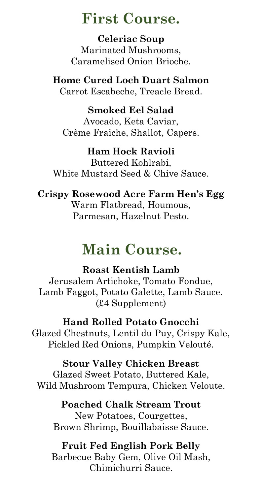## **First Course.**

**Celeriac Soup** Marinated Mushrooms, Caramelised Onion Brioche.

**Home Cured Loch Duart Salmon** Carrot Escabeche, Treacle Bread.

**Smoked Eel Salad** Avocado, Keta Caviar, Crème Fraiche, Shallot, Capers.

#### **Ham Hock Ravioli**

Buttered Kohlrabi, White Mustard Seed & Chive Sauce.

### **Crispy Rosewood Acre Farm Hen's Egg**

Warm Flatbread, Houmous, Parmesan, Hazelnut Pesto.

# **Main Course.**

#### **Roast Kentish Lamb**

Jerusalem Artichoke, Tomato Fondue, Lamb Faggot, Potato Galette, Lamb Sauce. (£4 Supplement)

**Hand Rolled Potato Gnocchi** Glazed Chestnuts, Lentil du Puy, Crispy Kale, Pickled Red Onions, Pumpkin Velouté.

#### **Stour Valley Chicken Breast**

Glazed Sweet Potato, Buttered Kale, Wild Mushroom Tempura, Chicken Veloute.

**Poached Chalk Stream Trout** New Potatoes, Courgettes, Brown Shrimp, Bouillabaisse Sauce.

#### **Fruit Fed English Pork Belly**

Barbecue Baby Gem, Olive Oil Mash, Chimichurri Sauce.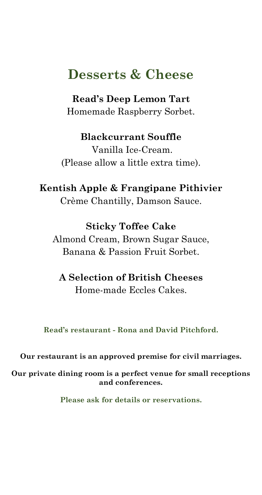## **Desserts & Cheese**

**Read's Deep Lemon Tart** Homemade Raspberry Sorbet.

**Blackcurrant Souffle** Vanilla Ice-Cream. (Please allow a little extra time).

**Kentish Apple & Frangipane Pithivier**  Crème Chantilly, Damson Sauce.

**Sticky Toffee Cake** Almond Cream, Brown Sugar Sauce, Banana & Passion Fruit Sorbet.

**A Selection of British Cheeses** Home-made Eccles Cakes.

**Read's restaurant - Rona and David Pitchford.**

**Our restaurant is an approved premise for civil marriages.**

**Our private dining room is a perfect venue for small receptions and conferences.**

**Please ask for details or reservations.**